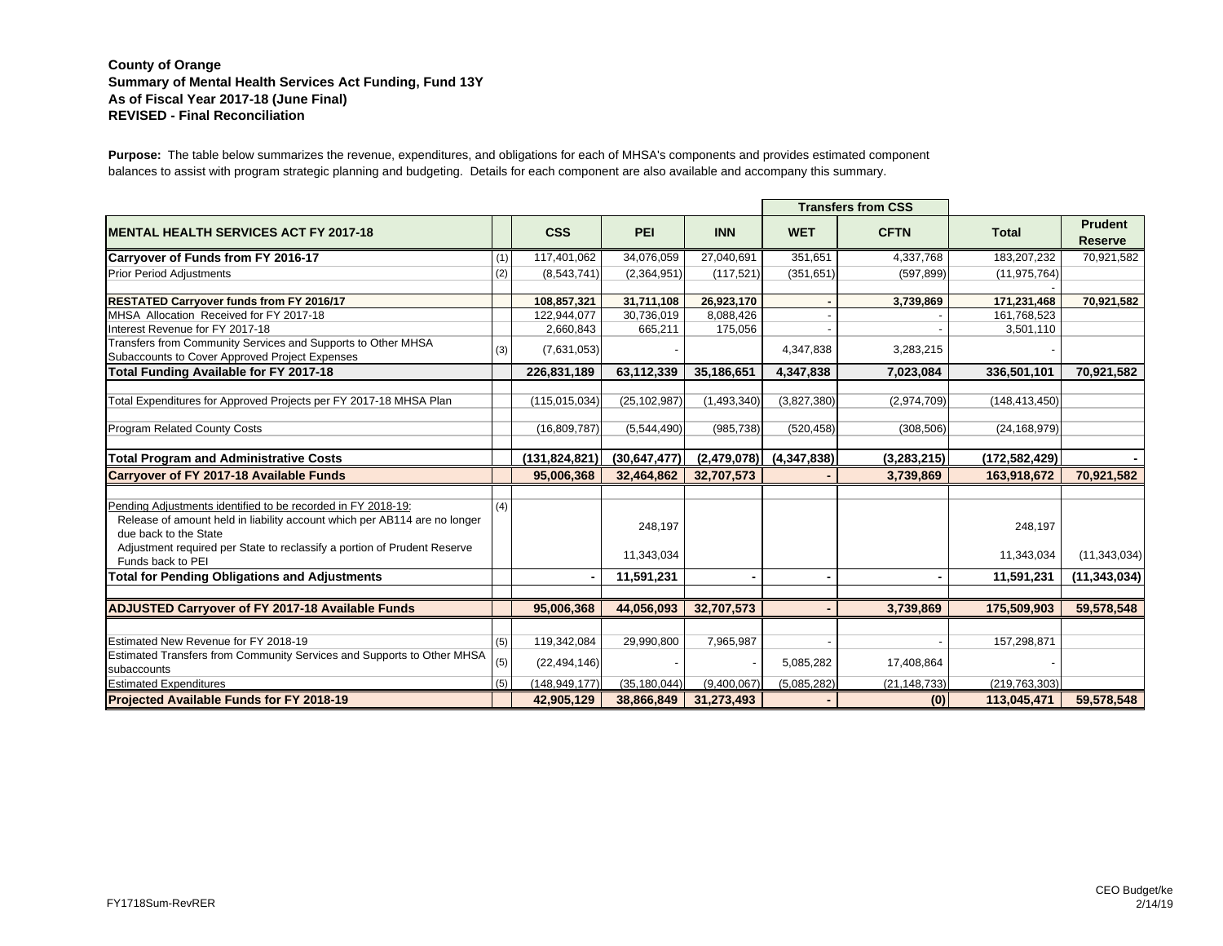## **County of Orange Summary of Mental Health Services Act Funding, Fund 13Y As of Fiscal Year 2017-18 (June Final) REVISED - Final Reconciliation**

**Purpose:** The table below summarizes the revenue, expenditures, and obligations for each of MHSA's components and provides estimated component balances to assist with program strategic planning and budgeting. Details for each component are also available and accompany this summary.

|                                                                                                                                                                    |     |                 |                |             |             | <b>Transfers from CSS</b> |                 |                                  |
|--------------------------------------------------------------------------------------------------------------------------------------------------------------------|-----|-----------------|----------------|-------------|-------------|---------------------------|-----------------|----------------------------------|
| <b>MENTAL HEALTH SERVICES ACT FY 2017-18</b>                                                                                                                       |     | <b>CSS</b>      | PEI            | <b>INN</b>  | <b>WET</b>  | <b>CFTN</b>               | <b>Total</b>    | <b>Prudent</b><br><b>Reserve</b> |
| Carryover of Funds from FY 2016-17                                                                                                                                 | (1) | 117,401,062     | 34,076,059     | 27,040,691  | 351,651     | 4,337,768                 | 183,207,232     | 70,921,582                       |
| <b>Prior Period Adjustments</b>                                                                                                                                    | (2) | (8,543,741)     | (2,364,951)    | (117, 521)  | (351, 651)  | (597, 899)                | (11, 975, 764)  |                                  |
|                                                                                                                                                                    |     |                 |                |             |             |                           |                 |                                  |
| <b>RESTATED Carryover funds from FY 2016/17</b>                                                                                                                    |     | 108,857,321     | 31,711,108     | 26,923,170  |             | 3,739,869                 | 171,231,468     | 70,921,582                       |
| MHSA Allocation Received for FY 2017-18                                                                                                                            |     | 122,944,077     | 30,736,019     | 8,088,426   |             |                           | 161,768,523     |                                  |
| Interest Revenue for FY 2017-18                                                                                                                                    |     | 2,660,843       | 665,211        | 175,056     |             |                           | 3,501,110       |                                  |
| Transfers from Community Services and Supports to Other MHSA<br>Subaccounts to Cover Approved Project Expenses                                                     | (3) | (7,631,053)     |                |             | 4,347,838   | 3,283,215                 |                 |                                  |
| Total Funding Available for FY 2017-18                                                                                                                             |     | 226,831,189     | 63,112,339     | 35,186,651  | 4,347,838   | 7,023,084                 | 336,501,101     | 70,921,582                       |
| Total Expenditures for Approved Projects per FY 2017-18 MHSA Plan                                                                                                  |     | (115, 015, 034) | (25, 102, 987) | (1,493,340) | (3,827,380) | (2,974,709)               | (148, 413, 450) |                                  |
| <b>Program Related County Costs</b>                                                                                                                                |     | (16,809,787)    | (5,544,490)    | (985, 738)  | (520, 458)  | (308, 506)                | (24, 168, 979)  |                                  |
| <b>Total Program and Administrative Costs</b>                                                                                                                      |     | (131, 824, 821) | (30, 647, 477) | (2,479,078) | (4,347,838) | (3,283,215)               | (172, 582, 429) |                                  |
| <b>Carryover of FY 2017-18 Available Funds</b>                                                                                                                     |     | 95,006,368      | 32,464,862     | 32,707,573  |             | 3,739,869                 | 163,918,672     | 70,921,582                       |
|                                                                                                                                                                    |     |                 |                |             |             |                           |                 |                                  |
| Pending Adjustments identified to be recorded in FY 2018-19:<br>Release of amount held in liability account which per AB114 are no longer<br>due back to the State | (4) |                 | 248,197        |             |             |                           | 248,197         |                                  |
| Adjustment required per State to reclassify a portion of Prudent Reserve<br>Funds back to PEI                                                                      |     |                 | 11,343,034     |             |             |                           | 11,343,034      | (11, 343, 034)                   |
| <b>Total for Pending Obligations and Adjustments</b>                                                                                                               |     |                 | 11,591,231     |             |             |                           | 11,591,231      | (11, 343, 034)                   |
|                                                                                                                                                                    |     |                 |                |             |             |                           |                 |                                  |
| <b>ADJUSTED Carryover of FY 2017-18 Available Funds</b>                                                                                                            |     | 95,006,368      | 44,056,093     | 32,707,573  |             | 3,739,869                 | 175,509,903     | 59,578,548                       |
|                                                                                                                                                                    |     |                 |                |             |             |                           |                 |                                  |
| Estimated New Revenue for FY 2018-19                                                                                                                               | (5) | 119,342,084     | 29,990,800     | 7,965,987   |             |                           | 157,298,871     |                                  |
| Estimated Transfers from Community Services and Supports to Other MHSA<br>subaccounts                                                                              | (5) | (22, 494, 146)  |                |             | 5,085,282   | 17,408,864                |                 |                                  |
| <b>Estimated Expenditures</b>                                                                                                                                      | (5) | (148, 949, 177) | (35, 180, 044) | (9,400,067) | (5,085,282) | (21, 148, 733)            | (219, 763, 303) |                                  |
| <b>Projected Available Funds for FY 2018-19</b>                                                                                                                    |     | 42,905,129      | 38,866,849     | 31,273,493  |             | (0)                       | 113.045.471     | 59.578.548                       |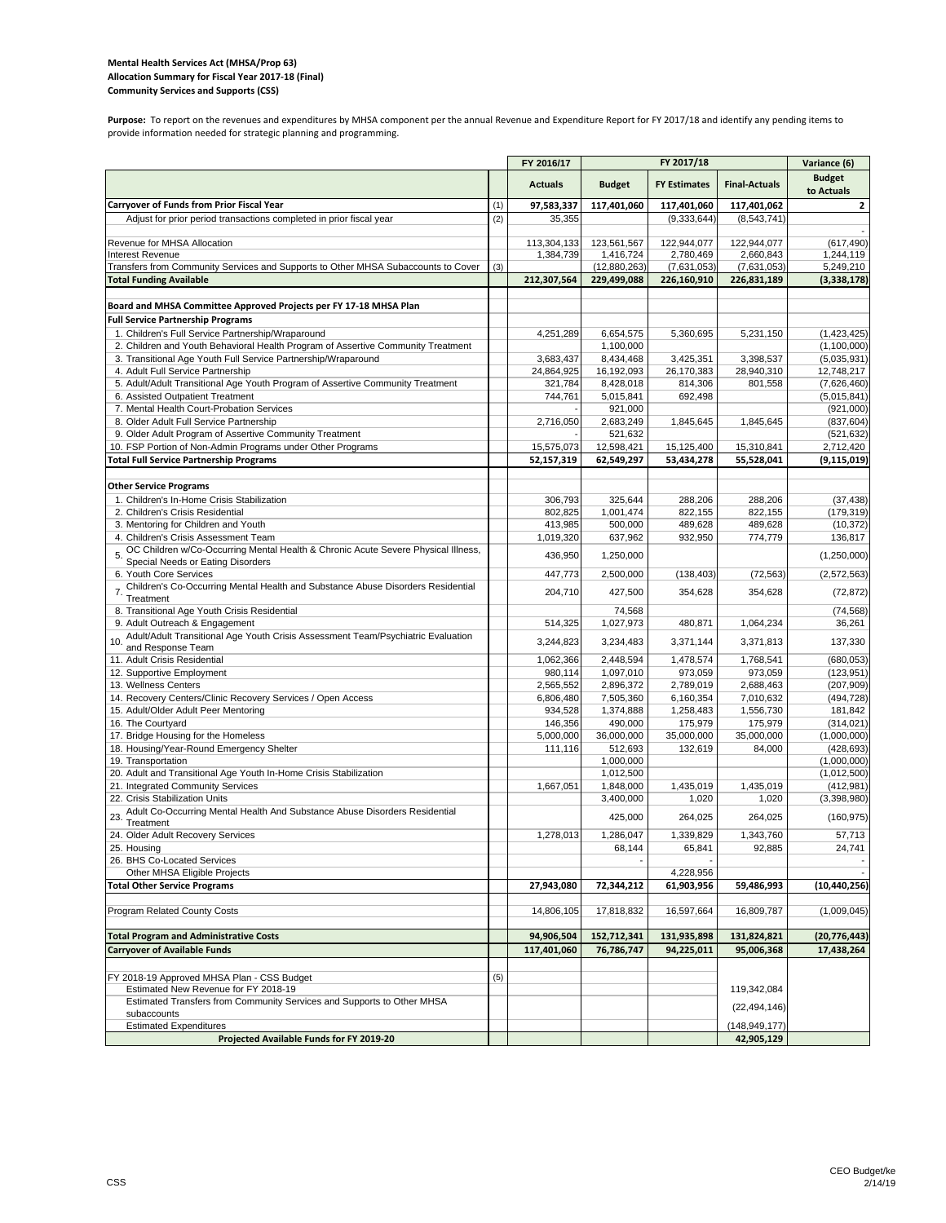#### **Mental Health Services Act (MHSA/Prop 63) Allocation Summary for Fiscal Year 2017‐18 (Final) Community Services and Supports (CSS)**

Purpose: To report on the revenues and expenditures by MHSA component per the annual Revenue and Expenditure Report for FY 2017/18 and identify any pending items to provide information needed for strategic planning and programming.

|                                                                                                                        |     | FY 2016/17             |                        | FY 2017/18             |                        | Variance (6)                |
|------------------------------------------------------------------------------------------------------------------------|-----|------------------------|------------------------|------------------------|------------------------|-----------------------------|
|                                                                                                                        |     | <b>Actuals</b>         | <b>Budget</b>          | <b>FY Estimates</b>    | <b>Final-Actuals</b>   | <b>Budget</b><br>to Actuals |
| Carryover of Funds from Prior Fiscal Year                                                                              | (1) | 97,583,337             | 117,401,060            | 117,401,060            | 117,401,062            | $\overline{2}$              |
| Adjust for prior period transactions completed in prior fiscal year                                                    | (2) | 35,355                 |                        | (9, 333, 644)          | (8,543,741)            |                             |
| Revenue for MHSA Allocation                                                                                            |     | 113,304,133            | 123,561,567            | 122,944,077            | 122,944,077            | (617, 490)                  |
| Interest Revenue                                                                                                       |     | 1,384,739              | 1,416,724              | 2,780,469              | 2,660,843              | 1,244,119                   |
| Transfers from Community Services and Supports to Other MHSA Subaccounts to Cover                                      | (3) |                        | (12,880,263)           | (7,631,053)            | (7,631,053)            | 5,249,210                   |
| <b>Total Funding Available</b>                                                                                         |     | 212,307,564            | 229,499,088            | 226,160,910            | 226,831,189            | (3,338,178)                 |
| Board and MHSA Committee Approved Projects per FY 17-18 MHSA Plan                                                      |     |                        |                        |                        |                        |                             |
| <b>Full Service Partnership Programs</b>                                                                               |     |                        |                        |                        |                        |                             |
| 1. Children's Full Service Partnership/Wraparound                                                                      |     | 4,251,289              | 6,654,575              | 5,360,695              | 5,231,150              | (1,423,425)                 |
| 2. Children and Youth Behavioral Health Program of Assertive Community Treatment                                       |     |                        | 1,100,000              |                        |                        | (1, 100, 000)               |
| 3. Transitional Age Youth Full Service Partnership/Wraparound                                                          |     | 3,683,437              | 8,434,468              | 3,425,351              | 3,398,537              | (5,035,931)                 |
| 4. Adult Full Service Partnership                                                                                      |     | 24,864,925             | 16,192,093             | 26,170,383             | 28,940,310             | 12,748,217                  |
| 5. Adult/Adult Transitional Age Youth Program of Assertive Community Treatment<br>6. Assisted Outpatient Treatment     |     | 321,784<br>744,761     | 8,428,018<br>5,015,841 | 814,306<br>692,498     | 801,558                | (7,626,460)<br>(5,015,841)  |
| 7. Mental Health Court-Probation Services                                                                              |     |                        | 921,000                |                        |                        | (921,000)                   |
| 8. Older Adult Full Service Partnership                                                                                |     | 2,716,050              | 2,683,249              | 1,845,645              | 1,845,645              | (837, 604)                  |
| 9. Older Adult Program of Assertive Community Treatment                                                                |     |                        | 521,632                |                        |                        | (521, 632)                  |
| 10. FSP Portion of Non-Admin Programs under Other Programs                                                             |     | 15,575,073             | 12,598,421             | 15,125,400             | 15,310,841             | 2,712,420                   |
| <b>Total Full Service Partnership Programs</b>                                                                         |     | 52,157,319             | 62,549,297             | 53,434,278             | 55,528,041             | (9, 115, 019)               |
| <b>Other Service Programs</b>                                                                                          |     |                        |                        |                        |                        |                             |
| 1. Children's In-Home Crisis Stabilization                                                                             |     | 306,793                | 325,644                | 288,206                | 288,206                | (37, 438)                   |
| 2. Children's Crisis Residential                                                                                       |     | 802,825                | 1,001,474              | 822,155                | 822,155                | (179, 319)                  |
| 3. Mentoring for Children and Youth                                                                                    |     | 413,985                | 500,000                | 489,628                | 489,628                | (10, 372)                   |
| 4. Children's Crisis Assessment Team                                                                                   |     | 1,019,320              | 637,962                | 932,950                | 774,779                | 136,817                     |
| OC Children w/Co-Occurring Mental Health & Chronic Acute Severe Physical Illness,<br>Special Needs or Eating Disorders |     | 436,950                | 1,250,000              |                        |                        | (1,250,000)                 |
| 6. Youth Core Services                                                                                                 |     | 447,773                | 2,500,000              | (138, 403)             | (72, 563)              | (2,572,563)                 |
| 7. Children's Co-Occurring Mental Health and Substance Abuse Disorders Residential                                     |     | 204,710                | 427,500                | 354,628                | 354,628                | (72, 872)                   |
| Treatment                                                                                                              |     |                        |                        |                        |                        |                             |
| 8. Transitional Age Youth Crisis Residential                                                                           |     |                        | 74,568                 |                        |                        | (74, 568)                   |
| 9. Adult Outreach & Engagement<br>10. Adult/Adult Transitional Age Youth Crisis Assessment Team/Psychiatric Evaluation |     | 514,325                | 1,027,973              | 480,871                | 1,064,234              | 36,261                      |
| and Response Team                                                                                                      |     | 3,244,823              | 3,234,483              | 3,371,144              | 3,371,813              | 137,330                     |
| 11. Adult Crisis Residential                                                                                           |     | 1,062,366              | 2,448,594              | 1,478,574              | 1,768,541              | (680, 053)                  |
| 12. Supportive Employment                                                                                              |     | 980,114                | 1,097,010              | 973,059                | 973,059                | (123, 951)                  |
| 13. Wellness Centers<br>14. Recovery Centers/Clinic Recovery Services / Open Access                                    |     | 2,565,552<br>6,806,480 | 2,896,372<br>7,505,360 | 2,789,019<br>6,160,354 | 2,688,463<br>7,010,632 | (207, 909)<br>(494, 728)    |
| 15. Adult/Older Adult Peer Mentoring                                                                                   |     | 934,528                | 1,374,888              | 1,258,483              | 1,556,730              | 181,842                     |
| 16. The Courtyard                                                                                                      |     | 146,356                | 490,000                | 175,979                | 175,979                | (314, 021)                  |
| 17. Bridge Housing for the Homeless                                                                                    |     | 5,000,000              | 36,000,000             | 35,000,000             | 35,000,000             | (1,000,000)                 |
| 18. Housing/Year-Round Emergency Shelter                                                                               |     | 111,116                | 512,693                | 132,619                | 84,000                 | (428, 693)                  |
| 19. Transportation<br>20. Adult and Transitional Age Youth In-Home Crisis Stabilization                                |     |                        | 1,000,000<br>1,012,500 |                        |                        | (1,000,000)<br>(1,012,500)  |
| 21. Integrated Community Services                                                                                      |     | 1,667,051              | 1,848,000              | 1,435,019              | 1,435,019              | (412, 981)                  |
| 22. Crisis Stabilization Units                                                                                         |     |                        | 3,400,000              | 1,020                  | 1,020                  | (3,398,980)                 |
| Adult Co-Occurring Mental Health And Substance Abuse Disorders Residential                                             |     |                        | 425,000                | 264,025                | 264,025                | (160, 975)                  |
| Treatment                                                                                                              |     |                        | 1,286,047              | 1,339,829              | 1,343,760              |                             |
| 24. Older Adult Recovery Services<br>25. Housing                                                                       |     | 1,278,013              | 68,144                 | 65,841                 | 92,885                 | 57,713<br>24,741            |
| 26. BHS Co-Located Services                                                                                            |     |                        |                        |                        |                        |                             |
| Other MHSA Eligible Projects                                                                                           |     |                        |                        | 4,228,956              |                        |                             |
| <b>Total Other Service Programs</b>                                                                                    |     | 27,943,080             | 72,344,212             | 61,903,956             | 59,486,993             | (10, 440, 256)              |
| Program Related County Costs                                                                                           |     | 14,806,105             | 17,818,832             | 16,597,664             | 16,809,787             | (1,009,045)                 |
|                                                                                                                        |     |                        |                        |                        |                        |                             |
| <b>Total Program and Administrative Costs</b>                                                                          |     | 94,906,504             | 152,712,341            | 131,935,898            | 131,824,821            | (20,776,443)                |
| <b>Carryover of Available Funds</b>                                                                                    |     | 117,401,060            | 76,786,747             | 94,225,011             | 95,006,368             | 17,438,264                  |
| FY 2018-19 Approved MHSA Plan - CSS Budget                                                                             | (5) |                        |                        |                        |                        |                             |
| Estimated New Revenue for FY 2018-19                                                                                   |     |                        |                        |                        | 119,342,084            |                             |
| Estimated Transfers from Community Services and Supports to Other MHSA                                                 |     |                        |                        |                        | (22, 494, 146)         |                             |
| subaccounts                                                                                                            |     |                        |                        |                        |                        |                             |
| <b>Estimated Expenditures</b>                                                                                          |     |                        |                        |                        | (148, 949, 177)        |                             |
| Projected Available Funds for FY 2019-20                                                                               |     |                        |                        |                        | 42,905,129             |                             |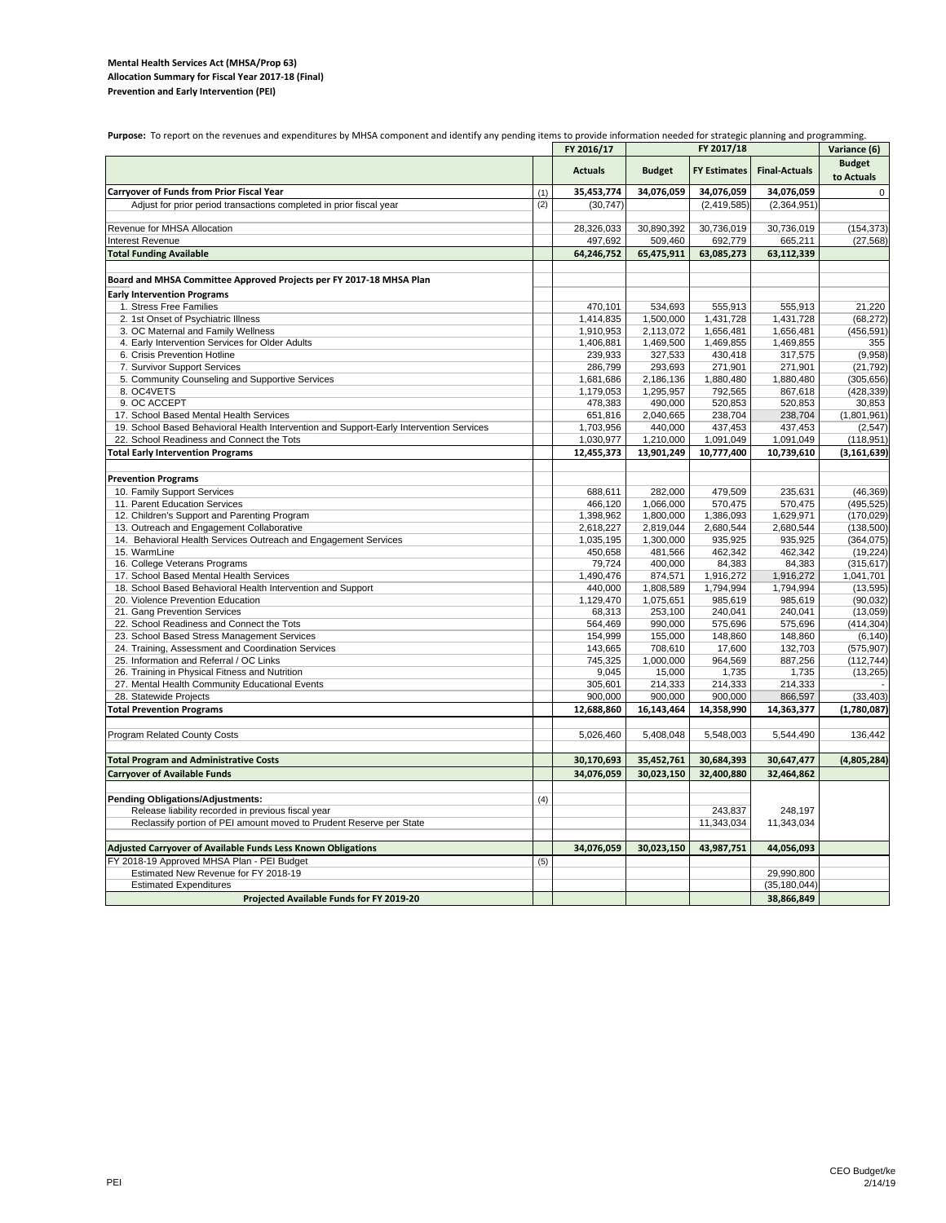### **Mental Health Services Act (MHSA/Prop 63) Prevention and Early Intervention (PEI) Allocation Summary for Fiscal Year 2017‐18 (Final)**

| Purpose: To report on the revenues and expenditures by MHSA component and identify any pending items to provide information needed for strategic planning and programming |     |                |               |                     |                      |                             |  |
|---------------------------------------------------------------------------------------------------------------------------------------------------------------------------|-----|----------------|---------------|---------------------|----------------------|-----------------------------|--|
|                                                                                                                                                                           |     | FY 2016/17     |               | FY 2017/18          |                      | Variance (6)                |  |
|                                                                                                                                                                           |     | <b>Actuals</b> | <b>Budget</b> | <b>FY Estimates</b> | <b>Final-Actuals</b> | <b>Budget</b><br>to Actuals |  |
| <b>Carryover of Funds from Prior Fiscal Year</b>                                                                                                                          | (1) | 35,453,774     | 34,076,059    | 34,076,059          | 34,076,059           | $\mathsf 0$                 |  |
| Adjust for prior period transactions completed in prior fiscal year                                                                                                       | (2) | (30, 747)      |               | (2, 419, 585)       | (2,364,951)          |                             |  |
|                                                                                                                                                                           |     |                |               |                     |                      |                             |  |
| Revenue for MHSA Allocation                                                                                                                                               |     | 28,326,033     | 30,890,392    | 30,736,019          | 30,736,019           | (154, 373)                  |  |
| Interest Revenue                                                                                                                                                          |     | 497,692        | 509,460       | 692,779             | 665,211              | (27, 568)                   |  |
| <b>Total Funding Available</b>                                                                                                                                            |     | 64,246,752     | 65,475,911    | 63,085,273          | 63,112,339           |                             |  |
| Board and MHSA Committee Approved Projects per FY 2017-18 MHSA Plan                                                                                                       |     |                |               |                     |                      |                             |  |
| <b>Early Intervention Programs</b>                                                                                                                                        |     |                |               |                     |                      |                             |  |
| 1. Stress Free Families                                                                                                                                                   |     | 470.101        | 534,693       | 555,913             | 555,913              | 21,220                      |  |
| 2. 1st Onset of Psychiatric Illness                                                                                                                                       |     | 1,414,835      | 1,500,000     | 1,431,728           | 1,431,728            | (68, 272)                   |  |
| 3. OC Maternal and Family Wellness                                                                                                                                        |     | 1,910,953      | 2,113,072     | 1,656,481           | 1,656,481            | (456, 591)                  |  |
| 4. Early Intervention Services for Older Adults                                                                                                                           |     | 1,406,881      | 1,469,500     | 1,469,855           | 1,469,855            | 355                         |  |
| 6. Crisis Prevention Hotline                                                                                                                                              |     | 239,933        | 327,533       | 430,418             | 317,575              | (9,958)                     |  |
| 7. Survivor Support Services                                                                                                                                              |     | 286,799        | 293,693       | 271,901             | 271,901              | (21, 792)                   |  |
| 5. Community Counseling and Supportive Services                                                                                                                           |     | 1,681,686      | 2,186,136     | 1,880,480           | 1,880,480            | (305, 656)                  |  |
| 8. OC4VETS                                                                                                                                                                |     | 1,179,053      | 1,295,957     | 792,565             | 867,618              | (428, 339)                  |  |
| 9. OC ACCEPT                                                                                                                                                              |     | 478,383        | 490,000       | 520,853             | 520,853              | 30,853                      |  |
| 17. School Based Mental Health Services                                                                                                                                   |     | 651,816        | 2,040,665     | 238,704             | 238,704              | (1,801,961)                 |  |
| 19. School Based Behavioral Health Intervention and Support-Early Intervention Services                                                                                   |     | 1,703,956      | 440,000       | 437,453             | 437,453              | (2, 547)                    |  |
| 22. School Readiness and Connect the Tots                                                                                                                                 |     | 1,030,977      | 1,210,000     | 1,091,049           | 1,091,049            | (118, 951)                  |  |
| <b>Total Early Intervention Programs</b>                                                                                                                                  |     | 12,455,373     | 13,901,249    | 10,777,400          | 10,739,610           | (3, 161, 639)               |  |
|                                                                                                                                                                           |     |                |               |                     |                      |                             |  |
| <b>Prevention Programs</b>                                                                                                                                                |     |                |               |                     |                      |                             |  |
| 10. Family Support Services                                                                                                                                               |     | 688,611        | 282,000       | 479,509             | 235,631              | (46, 369)                   |  |
| 11. Parent Education Services                                                                                                                                             |     | 466,120        | 1,066,000     | 570,475             | 570,475              | (495, 525)                  |  |
| 12. Children's Support and Parenting Program                                                                                                                              |     | 1,398,962      | 1,800,000     | 1,386,093           | 1,629,971            | (170, 029)                  |  |
| 13. Outreach and Engagement Collaborative                                                                                                                                 |     | 2,618,227      | 2,819,044     | 2,680,544           | 2,680,544            | (138, 500)                  |  |
| 14. Behavioral Health Services Outreach and Engagement Services                                                                                                           |     | 1,035,195      | 1,300,000     | 935,925             | 935,925              | (364, 075)                  |  |
| 15. WarmLine                                                                                                                                                              |     | 450,658        | 481,566       | 462,342             | 462,342              | (19, 224)                   |  |
| 16. College Veterans Programs                                                                                                                                             |     | 79,724         | 400,000       | 84,383              | 84,383               | (315, 617)                  |  |
| 17. School Based Mental Health Services                                                                                                                                   |     | 1,490,476      | 874,571       | 1,916,272           | 1,916,272            | 1,041,701                   |  |
| 18. School Based Behavioral Health Intervention and Support                                                                                                               |     | 440,000        | 1,808,589     | 1,794,994           | 1,794,994            | (13, 595)                   |  |
| 20. Violence Prevention Education                                                                                                                                         |     | 1,129,470      | 1,075,651     | 985,619             | 985,619              | (90, 032)                   |  |
| 21. Gang Prevention Services                                                                                                                                              |     | 68,313         | 253,100       | 240.041             | 240,041              | (13,059)                    |  |
| 22. School Readiness and Connect the Tots                                                                                                                                 |     | 564,469        | 990,000       | 575,696             | 575,696              | (414, 304)                  |  |
| 23. School Based Stress Management Services                                                                                                                               |     | 154,999        | 155,000       | 148,860             | 148,860              | (6, 140)                    |  |
| 24. Training, Assessment and Coordination Services                                                                                                                        |     | 143,665        | 708,610       | 17,600              | 132,703              | (575, 907)                  |  |
| 25. Information and Referral / OC Links                                                                                                                                   |     | 745,325        | 1,000,000     | 964,569             | 887,256              | (112, 744)                  |  |
| 26. Training in Physical Fitness and Nutrition                                                                                                                            |     | 9,045          | 15,000        | 1,735               | 1,735                | (13, 265)                   |  |
| 27. Mental Health Community Educational Events                                                                                                                            |     | 305,601        | 214,333       | 214,333             | 214,333              |                             |  |
| 28. Statewide Projects                                                                                                                                                    |     | 900,000        | 900,000       | 900,000             | 866,597              | (33, 403)                   |  |
| <b>Total Prevention Programs</b>                                                                                                                                          |     | 12,688,860     | 16,143,464    | 14,358,990          | 14,363,377           | (1,780,087)                 |  |
|                                                                                                                                                                           |     |                |               |                     |                      |                             |  |
| Program Related County Costs                                                                                                                                              |     | 5,026,460      | 5,408,048     | 5,548,003           | 5,544,490            | 136,442                     |  |
| <b>Total Program and Administrative Costs</b>                                                                                                                             |     | 30,170,693     | 35,452,761    | 30,684,393          | 30,647,477           | (4,805,284)                 |  |
| <b>Carryover of Available Funds</b>                                                                                                                                       |     | 34,076,059     | 30,023,150    | 32,400,880          | 32,464,862           |                             |  |
|                                                                                                                                                                           |     |                |               |                     |                      |                             |  |
| <b>Pending Obligations/Adjustments:</b>                                                                                                                                   | (4) |                |               |                     |                      |                             |  |
| Release liability recorded in previous fiscal year                                                                                                                        |     |                |               | 243,837             | 248,197              |                             |  |
| Reclassify portion of PEI amount moved to Prudent Reserve per State                                                                                                       |     |                |               | 11,343,034          | 11,343,034           |                             |  |
| Adjusted Carryover of Available Funds Less Known Obligations                                                                                                              |     | 34,076,059     | 30,023,150    | 43,987,751          | 44,056,093           |                             |  |
| FY 2018-19 Approved MHSA Plan - PEI Budget                                                                                                                                | (5) |                |               |                     |                      |                             |  |
| Estimated New Revenue for FY 2018-19                                                                                                                                      |     |                |               |                     | 29,990,800           |                             |  |
| <b>Estimated Expenditures</b>                                                                                                                                             |     |                |               |                     | (35, 180, 044)       |                             |  |
| Projected Available Funds for FY 2019-20                                                                                                                                  |     |                |               |                     | 38,866,849           |                             |  |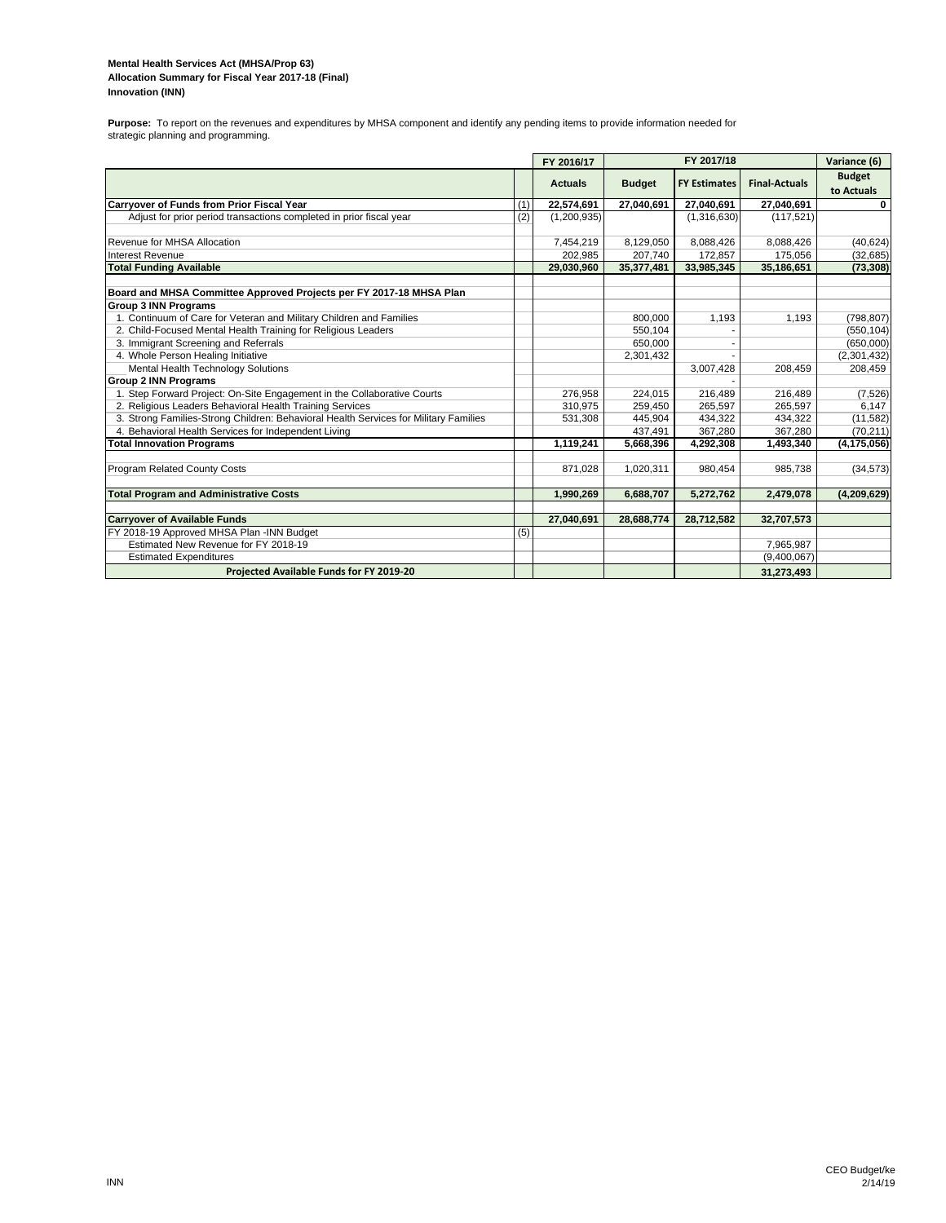#### **Mental Health Services Act (MHSA/Prop 63) Innovation (INN) Allocation Summary for Fiscal Year 2017-18 (Final)**

**Purpose:** To report on the revenues and expenditures by MHSA component and identify any pending items to provide information needed for strategic planning and programming.

|                                                                                      |     | FY 2016/17     | FY 2017/18    |                     |                      | Variance (6)                |
|--------------------------------------------------------------------------------------|-----|----------------|---------------|---------------------|----------------------|-----------------------------|
|                                                                                      |     | <b>Actuals</b> | <b>Budget</b> | <b>FY Estimates</b> | <b>Final-Actuals</b> | <b>Budget</b><br>to Actuals |
| <b>Carryover of Funds from Prior Fiscal Year</b>                                     | (1) | 22,574,691     | 27,040,691    | 27,040,691          | 27,040,691           | $\Omega$                    |
| Adjust for prior period transactions completed in prior fiscal year                  | (2) | (1,200,935)    |               | (1,316,630)         | (117, 521)           |                             |
| Revenue for MHSA Allocation                                                          |     | 7,454,219      | 8,129,050     | 8,088,426           | 8,088,426            | (40, 624)                   |
| Interest Revenue                                                                     |     | 202,985        | 207,740       | 172,857             | 175,056              | (32, 685)                   |
| <b>Total Funding Available</b>                                                       |     | 29,030,960     | 35,377,481    | 33,985,345          | 35,186,651           | (73, 308)                   |
| Board and MHSA Committee Approved Projects per FY 2017-18 MHSA Plan                  |     |                |               |                     |                      |                             |
| <b>Group 3 INN Programs</b>                                                          |     |                |               |                     |                      |                             |
| 1. Continuum of Care for Veteran and Military Children and Families                  |     |                | 800,000       | 1,193               | 1,193                | (798, 807)                  |
| 2. Child-Focused Mental Health Training for Religious Leaders                        |     |                | 550,104       |                     |                      | (550, 104)                  |
| 3. Immigrant Screening and Referrals                                                 |     |                | 650,000       |                     |                      | (650,000)                   |
| 4. Whole Person Healing Initiative                                                   |     |                | 2,301,432     |                     |                      | (2,301,432)                 |
| Mental Health Technology Solutions                                                   |     |                |               | 3,007,428           | 208,459              | 208,459                     |
| <b>Group 2 INN Programs</b>                                                          |     |                |               |                     |                      |                             |
| 1. Step Forward Project: On-Site Engagement in the Collaborative Courts              |     | 276,958        | 224,015       | 216,489             | 216,489              | (7, 526)                    |
| 2. Religious Leaders Behavioral Health Training Services                             |     | 310,975        | 259,450       | 265,597             | 265,597              | 6,147                       |
| 3. Strong Families-Strong Children: Behavioral Health Services for Military Families |     | 531,308        | 445.904       | 434.322             | 434.322              | (11, 582)                   |
| 4. Behavioral Health Services for Independent Living                                 |     |                | 437,491       | 367,280             | 367,280              | (70, 211)                   |
| <b>Total Innovation Programs</b>                                                     |     | 1,119,241      | 5,668,396     | 4,292,308           | 1,493,340            | (4, 175, 056)               |
| <b>Program Related County Costs</b>                                                  |     | 871,028        | 1,020,311     | 980,454             | 985,738              | (34, 573)                   |
| <b>Total Program and Administrative Costs</b>                                        |     | 1,990,269      | 6,688,707     | 5,272,762           | 2,479,078            | (4,209,629)                 |
|                                                                                      |     |                |               |                     |                      |                             |
| <b>Carryover of Available Funds</b>                                                  |     | 27,040,691     | 28,688,774    | 28,712,582          | 32,707,573           |                             |
| FY 2018-19 Approved MHSA Plan -INN Budget                                            | (5) |                |               |                     |                      |                             |
| Estimated New Revenue for FY 2018-19                                                 |     |                |               |                     | 7,965,987            |                             |
| <b>Estimated Expenditures</b>                                                        |     |                |               |                     | (9,400,067)          |                             |
| Projected Available Funds for FY 2019-20                                             |     |                |               |                     | 31,273,493           |                             |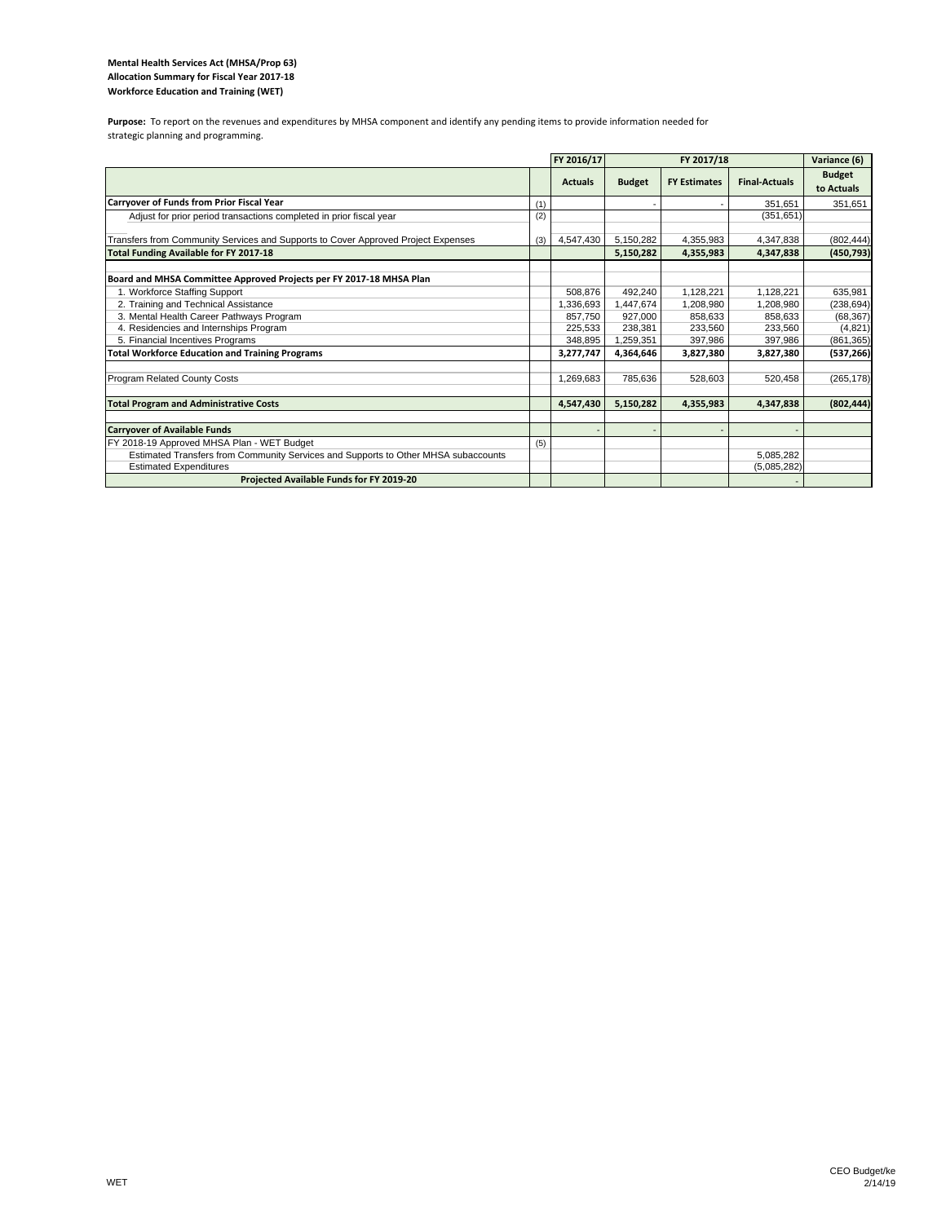### **Mental Health Services Act (MHSA/Prop 63) Allocation Summary for Fiscal Year 2017‐18 Workforce Education and Training (WET)**

Purpose: To report on the revenues and expenditures by MHSA component and identify any pending items to provide information needed for strategic planning and programming.

|                                                                                    |     | FY 2016/17     |               | Variance (6)        |                      |                             |
|------------------------------------------------------------------------------------|-----|----------------|---------------|---------------------|----------------------|-----------------------------|
|                                                                                    |     | <b>Actuals</b> | <b>Budget</b> | <b>FY Estimates</b> | <b>Final-Actuals</b> | <b>Budget</b><br>to Actuals |
| <b>Carryover of Funds from Prior Fiscal Year</b>                                   | (1) |                |               |                     | 351.651              | 351,651                     |
| Adjust for prior period transactions completed in prior fiscal year                | (2) |                |               |                     | (351, 651)           |                             |
| Transfers from Community Services and Supports to Cover Approved Project Expenses  | (3) | 4,547,430      | 5,150,282     | 4,355,983           | 4,347,838            | (802, 444)                  |
| Total Funding Available for FY 2017-18                                             |     |                | 5,150,282     | 4,355,983           | 4,347,838            | (450, 793)                  |
| Board and MHSA Committee Approved Projects per FY 2017-18 MHSA Plan                |     |                |               |                     |                      |                             |
| 1. Workforce Staffing Support                                                      |     | 508,876        | 492,240       | 1,128,221           | 1,128,221            | 635,981                     |
| 2. Training and Technical Assistance                                               |     | 1,336,693      | 1,447,674     | 1,208,980           | 1.208.980            | (238, 694)                  |
| 3. Mental Health Career Pathways Program                                           |     | 857,750        | 927,000       | 858,633             | 858,633              | (68, 367)                   |
| 4. Residencies and Internships Program                                             |     | 225.533        | 238.381       | 233,560             | 233,560              | (4,821)                     |
| 5. Financial Incentives Programs                                                   |     | 348.895        | 1,259,351     | 397,986             | 397,986              | (861, 365)                  |
| <b>Total Workforce Education and Training Programs</b>                             |     | 3,277,747      | 4,364,646     | 3,827,380           | 3,827,380            | (537, 266)                  |
| Program Related County Costs                                                       |     | 1,269,683      | 785.636       | 528,603             | 520,458              | (265, 178)                  |
| <b>Total Program and Administrative Costs</b>                                      |     | 4,547,430      | 5,150,282     | 4,355,983           | 4,347,838            | (802, 444)                  |
|                                                                                    |     |                |               |                     |                      |                             |
| <b>Carryover of Available Funds</b>                                                |     |                |               |                     |                      |                             |
| FY 2018-19 Approved MHSA Plan - WET Budget                                         | (5) |                |               |                     |                      |                             |
| Estimated Transfers from Community Services and Supports to Other MHSA subaccounts |     |                |               |                     | 5,085,282            |                             |
| <b>Estimated Expenditures</b>                                                      |     |                |               |                     | (5,085,282)          |                             |
| Projected Available Funds for FY 2019-20                                           |     |                |               |                     |                      |                             |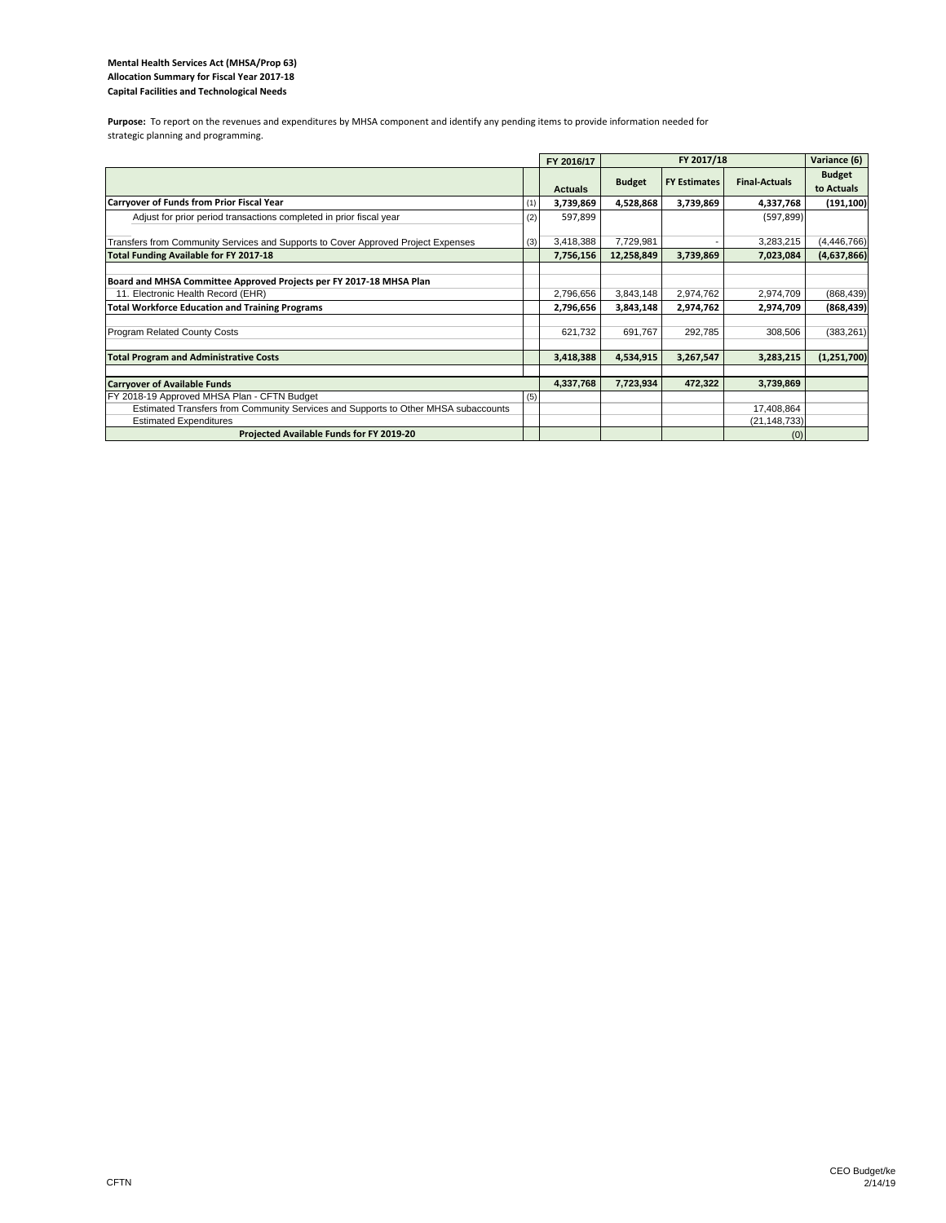### **Mental Health Services Act (MHSA/Prop 63) Allocation Summary for Fiscal Year 2017‐18 Capital Facilities and Technological Needs**

Purpose: To report on the revenues and expenditures by MHSA component and identify any pending items to provide information needed for strategic planning and programming.

|                                                                                                                     |     | FY 2016/17     |               | Variance (6)        |                              |                             |
|---------------------------------------------------------------------------------------------------------------------|-----|----------------|---------------|---------------------|------------------------------|-----------------------------|
|                                                                                                                     |     | <b>Actuals</b> | <b>Budget</b> | <b>FY Estimates</b> | <b>Final-Actuals</b>         | <b>Budget</b><br>to Actuals |
| Carryover of Funds from Prior Fiscal Year                                                                           | (1) | 3,739,869      | 4,528,868     | 3,739,869           | 4,337,768                    | (191, 100)                  |
| Adjust for prior period transactions completed in prior fiscal year                                                 | (2) | 597,899        |               |                     | (597, 899)                   |                             |
| Transfers from Community Services and Supports to Cover Approved Project Expenses                                   | (3) | 3,418,388      | 7,729,981     |                     | 3,283,215                    | (4, 446, 766)               |
| <b>Total Funding Available for FY 2017-18</b>                                                                       |     | 7,756,156      | 12,258,849    | 3,739,869           | 7,023,084                    | (4,637,866)                 |
| Board and MHSA Committee Approved Projects per FY 2017-18 MHSA Plan<br>11. Electronic Health Record (EHR)           |     | 2,796,656      | 3,843,148     | 2,974,762           | 2,974,709                    | (868, 439)                  |
| <b>Total Workforce Education and Training Programs</b>                                                              |     | 2,796,656      | 3,843,148     | 2,974,762           | 2,974,709                    | (868, 439)                  |
| <b>Program Related County Costs</b>                                                                                 |     | 621.732        | 691.767       | 292,785             | 308,506                      | (383, 261)                  |
| <b>Total Program and Administrative Costs</b>                                                                       |     | 3,418,388      | 4,534,915     | 3,267,547           | 3,283,215                    | (1,251,700)                 |
|                                                                                                                     |     |                |               |                     |                              |                             |
| <b>Carryover of Available Funds</b>                                                                                 |     | 4,337,768      | 7,723,934     | 472,322             | 3,739,869                    |                             |
| FY 2018-19 Approved MHSA Plan - CFTN Budget                                                                         | (5) |                |               |                     |                              |                             |
| Estimated Transfers from Community Services and Supports to Other MHSA subaccounts<br><b>Estimated Expenditures</b> |     |                |               |                     | 17,408,864<br>(21, 148, 733) |                             |
| Projected Available Funds for FY 2019-20                                                                            |     |                |               |                     | (0)                          |                             |